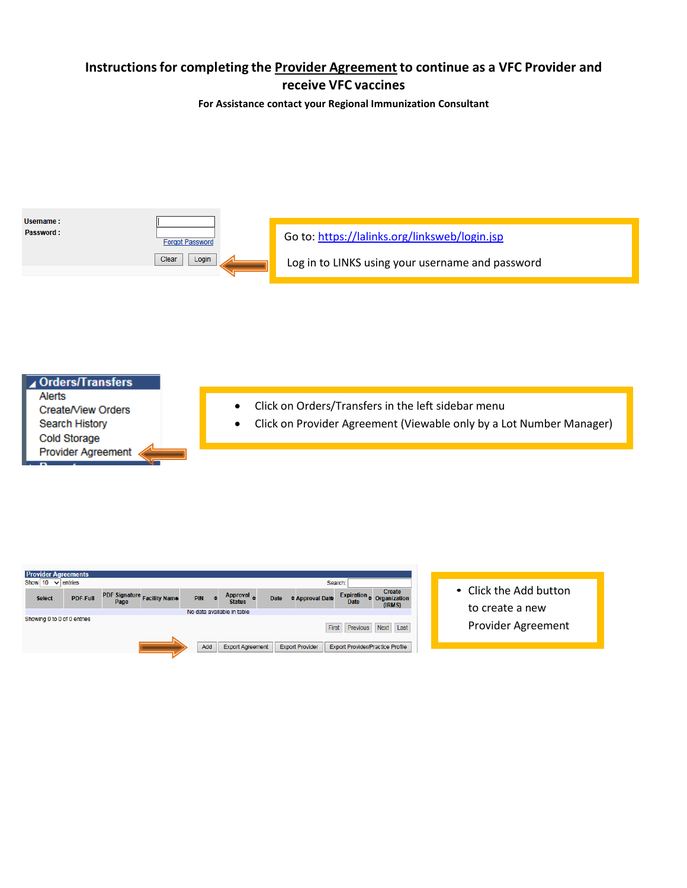# **Instructionsfor completing the Provider Agreement to continue as a VFC Provider and receive VFC vaccines**

**For Assistance contact your Regional Immunization Consultant**





| <b>Provider Agreements</b>      |                 |                             |            |     |                            |             |                        |              |             |                                         |  |                        |  |
|---------------------------------|-----------------|-----------------------------|------------|-----|----------------------------|-------------|------------------------|--------------|-------------|-----------------------------------------|--|------------------------|--|
| Show $10 \sqrt{\text{entries}}$ |                 |                             |            |     |                            |             |                        | Search:      |             |                                         |  |                        |  |
| <b>Select</b>                   | <b>PDF-Full</b> | PDF Signature Facility Name | <b>PIN</b> | ِ ⇒ | Approval 4                 | <b>Date</b> | <b>≑ Approval Date</b> |              | Expiration  | Create<br><b>Organization</b>           |  | • Click the Add button |  |
|                                 |                 | Page                        |            |     | <b>Status</b>              |             |                        |              | <b>Date</b> | (IRMS)                                  |  | to create a new        |  |
|                                 |                 |                             |            |     | No data available in table |             |                        |              |             |                                         |  |                        |  |
| Showing 0 to 0 of 0 entries     |                 |                             |            |     |                            |             |                        |              |             |                                         |  |                        |  |
|                                 |                 |                             |            |     |                            |             |                        | <b>First</b> | Previous    | <b>Next</b><br>Last                     |  | Provider Agreement     |  |
|                                 |                 |                             |            |     |                            |             |                        |              |             |                                         |  |                        |  |
|                                 |                 |                             | Add        |     | <b>Export Agreement</b>    |             | <b>Export Provider</b> |              |             | <b>Export Provider/Practice Profile</b> |  |                        |  |
|                                 |                 |                             |            |     |                            |             |                        |              |             |                                         |  |                        |  |
|                                 |                 |                             |            |     |                            |             |                        |              |             |                                         |  |                        |  |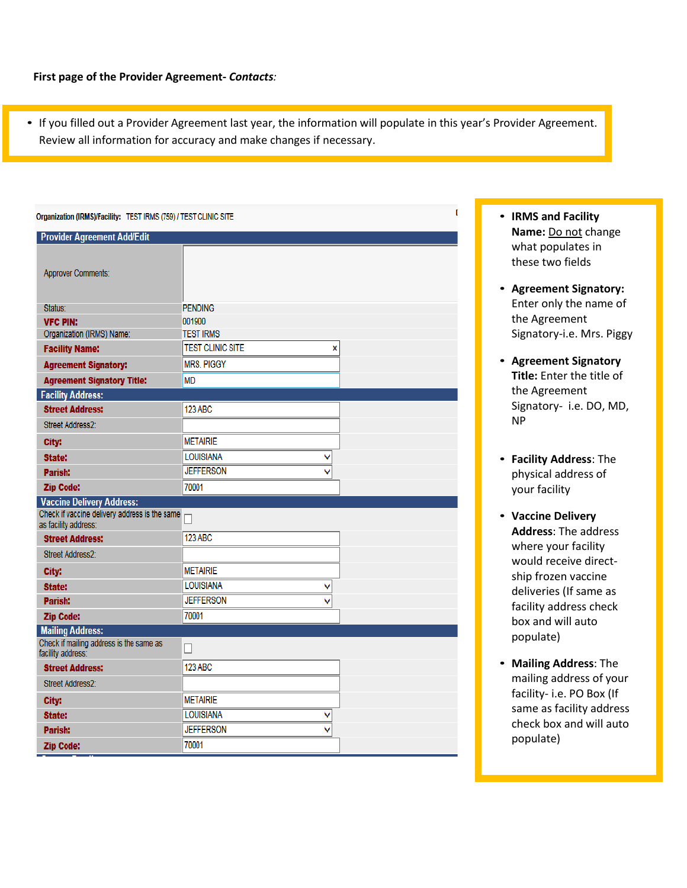• If you filled out a Provider Agreement last year, the information will populate in this year's Provider Agreement. Review all information for accuracy and make changes if necessary.

| E.<br>Organization (IRMS)/Facility: TEST IRMS (759) / TEST CLINIC SITE |                              |  |  |  |  |  |  |  |
|------------------------------------------------------------------------|------------------------------|--|--|--|--|--|--|--|
| <b>Provider Agreement Add/Edit</b>                                     |                              |  |  |  |  |  |  |  |
| <b>Approver Comments:</b>                                              |                              |  |  |  |  |  |  |  |
| Status:                                                                | <b>PENDING</b>               |  |  |  |  |  |  |  |
| <b>VFC PIN:</b>                                                        | 001900                       |  |  |  |  |  |  |  |
| Organization (IRMS) Name:                                              | <b>TEST IRMS</b>             |  |  |  |  |  |  |  |
| <b>Facility Name:</b>                                                  | <b>TEST CLINIC SITE</b><br>X |  |  |  |  |  |  |  |
| <b>Agreement Signatory:</b>                                            | <b>MRS. PIGGY</b>            |  |  |  |  |  |  |  |
| <b>Agreement Signatory Title:</b>                                      | <b>MD</b>                    |  |  |  |  |  |  |  |
| <b>Facility Address:</b>                                               |                              |  |  |  |  |  |  |  |
| <b>Street Address:</b>                                                 | 123 ABC                      |  |  |  |  |  |  |  |
| <b>Street Address2:</b>                                                |                              |  |  |  |  |  |  |  |
| City:                                                                  | <b>METAIRIE</b>              |  |  |  |  |  |  |  |
| State:                                                                 | <b>LOUISIANA</b><br>v        |  |  |  |  |  |  |  |
| Parish:                                                                | <b>JEFFERSON</b>             |  |  |  |  |  |  |  |
| <b>Zip Code:</b>                                                       | 70001                        |  |  |  |  |  |  |  |
| <b>Vaccine Delivery Address:</b>                                       |                              |  |  |  |  |  |  |  |
| Check if vaccine delivery address is the same<br>as facility address:  |                              |  |  |  |  |  |  |  |
| <b>Street Address:</b>                                                 | <b>123 ABC</b>               |  |  |  |  |  |  |  |
| <b>Street Address2:</b>                                                |                              |  |  |  |  |  |  |  |
| City:                                                                  | <b>METAIRIE</b>              |  |  |  |  |  |  |  |
| <b>State:</b>                                                          | <b>LOUISIANA</b><br>v        |  |  |  |  |  |  |  |
| Parish:                                                                | <b>JEFFERSON</b>             |  |  |  |  |  |  |  |
| <b>Zip Code:</b>                                                       | 70001                        |  |  |  |  |  |  |  |
| <b>Mailing Address:</b>                                                |                              |  |  |  |  |  |  |  |
| Check if mailing address is the same as<br>facility address:           | П                            |  |  |  |  |  |  |  |
| <b>Street Address:</b>                                                 | <b>123 ABC</b>               |  |  |  |  |  |  |  |
| Street Address2:                                                       |                              |  |  |  |  |  |  |  |
| City:                                                                  | <b>METAIRIE</b>              |  |  |  |  |  |  |  |
| State:                                                                 | <b>LOUISIANA</b>             |  |  |  |  |  |  |  |
| Parish:                                                                | <b>JEFFERSON</b>             |  |  |  |  |  |  |  |
| <b>Zip Code:</b>                                                       | 70001                        |  |  |  |  |  |  |  |

- **IRMS and Facility Name:** Do not change what populates in these two fields
- **Agreement Signatory:**  Enter only the name of the Agreement Signatory-i.e. Mrs. Piggy
- **Agreement Signatory Title:** Enter the title of the Agreement Signatory- i.e. DO, MD, NP
- **Facility Address**: The physical address of your facility
- **Vaccine Delivery Address**: The address where your facility would receive directship frozen vaccine deliveries (If same as facility address check box and will auto populate)
- **Mailing Address**: The mailing address of your facility- i.e. PO Box (If same as facility address check box and will auto populate)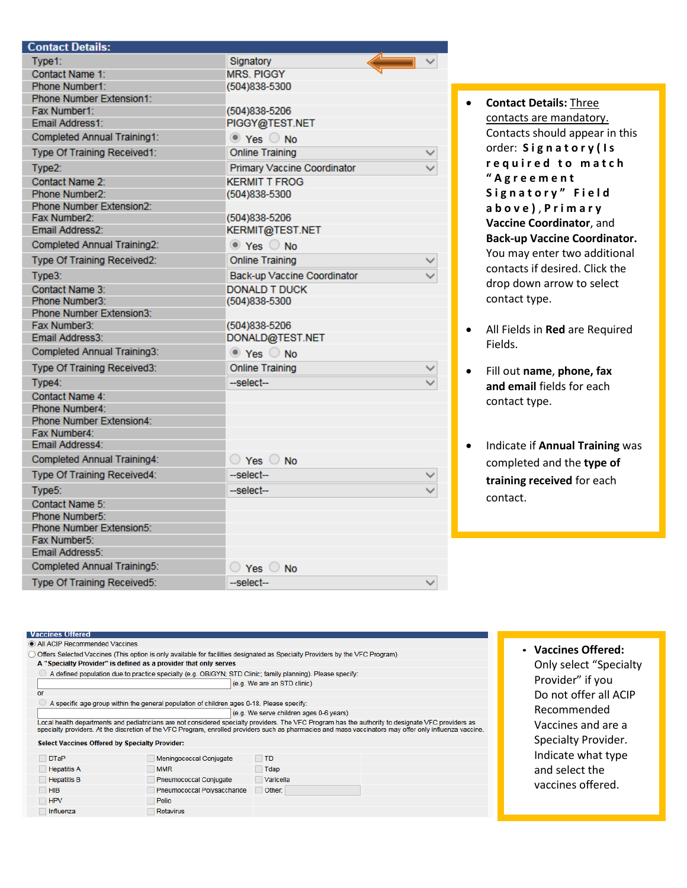| <b>Contact Details:</b>            |                                      |  |
|------------------------------------|--------------------------------------|--|
| Type1:                             | Signatory                            |  |
| Contact Name 1:                    | <b>MRS. PIGGY</b>                    |  |
| Phone Number1:                     | (504)838-5300                        |  |
| <b>Phone Number Extension1:</b>    |                                      |  |
| Fax Number1:                       | (504)838-5206                        |  |
| Email Address1:                    | PIGGY@TEST.NET                       |  |
| Completed Annual Training1:        | $\circledcirc$ Yes $\circledcirc$ No |  |
| Type Of Training Received1:        | <b>Online Training</b>               |  |
| Type <sub>2</sub> :                | <b>Primary Vaccine Coordinator</b>   |  |
| Contact Name 2:                    | <b>KERMIT T FROG</b>                 |  |
| Phone Number2:                     | (504)838-5300                        |  |
| <b>Phone Number Extension2:</b>    |                                      |  |
| Fax Number2:                       | (504)838-5206                        |  |
| Email Address2:                    | KERMIT@TEST.NET                      |  |
| <b>Completed Annual Training2:</b> | $\circledcirc$ Yes $\circledcirc$ No |  |
| Type Of Training Received2:        | <b>Online Training</b>               |  |
| Type3:                             | Back-up Vaccine Coordinator          |  |
| Contact Name 3:                    | <b>DONALD T DUCK</b>                 |  |
| Phone Number3:                     | (504)838-5300                        |  |
| <b>Phone Number Extension3:</b>    |                                      |  |
| Fax Number3:                       | (504)838-5206                        |  |
| Email Address3:                    | DONALD@TEST.NET                      |  |
| <b>Completed Annual Training3:</b> | ● Yes ● No                           |  |
| Type Of Training Received3:        | <b>Online Training</b>               |  |
| Type4:                             | --select--                           |  |
| Contact Name 4:                    |                                      |  |
| Phone Number4:                     |                                      |  |
| <b>Phone Number Extension4:</b>    |                                      |  |
| Fax Number4:                       |                                      |  |
| Email Address4:                    |                                      |  |
| <b>Completed Annual Training4:</b> | $\bigcirc$ Yes $\bigcirc$ No         |  |
| Type Of Training Received4:        | --select--                           |  |
| Type5:                             | --select--                           |  |
| Contact Name 5:                    |                                      |  |
| Phone Number5:                     |                                      |  |
| <b>Phone Number Extension5:</b>    |                                      |  |
| Fax Number5:                       |                                      |  |
| Email Address5:                    |                                      |  |
| <b>Completed Annual Training5:</b> | $\bigcirc$ Yes $\bigcirc$ No         |  |
| Type Of Training Received5:        | --select--                           |  |

- **Contact Details:** Three contacts are mandatory. Contacts should appear in this order: **S i g n a t o r y ( I s r e q u i r e d t o m a t c h " A g r e e m e n t**  Signatory" Field **a b o v e )** , **P r i m a r y Vaccine Coordinator**, and **Back-up Vaccine Coordinator.** You may enter two additional contacts if desired. Click the drop down arrow to select contact type.
- All Fields in **Red** are Required Fields.
- Fill out **name**, **phone, fax and email** fields for each contact type.
- Indicate if **Annual Training** was completed and the **type of training received** for each contact.

# **Vaccines Offered**

| All ACIP Recommended Vaccines                                    |                                                                                           |                                                                                                                              |                                                                                                                                                                                                                                                                                                               |
|------------------------------------------------------------------|-------------------------------------------------------------------------------------------|------------------------------------------------------------------------------------------------------------------------------|---------------------------------------------------------------------------------------------------------------------------------------------------------------------------------------------------------------------------------------------------------------------------------------------------------------|
|                                                                  |                                                                                           | Offers Selected Vaccines (This option is only available for facilities designated as Specialty Providers by the VFC Program) |                                                                                                                                                                                                                                                                                                               |
| A "Specialty Provider" is defined as a provider that only serves |                                                                                           |                                                                                                                              |                                                                                                                                                                                                                                                                                                               |
|                                                                  |                                                                                           | A defined population due to practice specialty (e.g. OB/GYN; STD Clinic; family planning). Please specify:                   |                                                                                                                                                                                                                                                                                                               |
|                                                                  |                                                                                           | (e.g. We are an STD clinic)                                                                                                  |                                                                                                                                                                                                                                                                                                               |
| or                                                               |                                                                                           |                                                                                                                              |                                                                                                                                                                                                                                                                                                               |
|                                                                  | A specific age group within the general population of children ages 0-18. Please specify: |                                                                                                                              |                                                                                                                                                                                                                                                                                                               |
|                                                                  |                                                                                           | (e.g. We serve children ages 0-6 years)                                                                                      |                                                                                                                                                                                                                                                                                                               |
|                                                                  |                                                                                           |                                                                                                                              | Local health departments and pediatricians are not considered specialty providers. The VFC Program has the authority to designate VFC providers as<br>specialty providers. At the discretion of the VFC Program, enrolled providers such as pharmacies and mass vaccinators may offer only influenza vaccine. |
| <b>Select Vaccines Offered by Specialty Provider:</b>            |                                                                                           |                                                                                                                              |                                                                                                                                                                                                                                                                                                               |
| <b>DTaP</b>                                                      | Meningococcal Conjugate                                                                   | <b>TD</b>                                                                                                                    |                                                                                                                                                                                                                                                                                                               |
| <b>Hepatitis A</b>                                               | <b>MMR</b>                                                                                | <b>Tdap</b>                                                                                                                  |                                                                                                                                                                                                                                                                                                               |
| <b>Hepatitis B</b>                                               | <b>Pneumococcal Conjugate</b>                                                             | Varicella                                                                                                                    |                                                                                                                                                                                                                                                                                                               |
| <b>HIB</b>                                                       | Pneumococcal Polysaccharide                                                               | Other:                                                                                                                       |                                                                                                                                                                                                                                                                                                               |
| <b>HPV</b>                                                       | Polio<br>$\sim$                                                                           |                                                                                                                              |                                                                                                                                                                                                                                                                                                               |
| Influenza                                                        | Rotavirus                                                                                 |                                                                                                                              |                                                                                                                                                                                                                                                                                                               |

• **Vaccines Offered:**  Only select "Specialty Provider" if you Do not offer all ACIP Recommended Vaccines and are a Specialty Provider. Indicate what type and select the vaccines offered.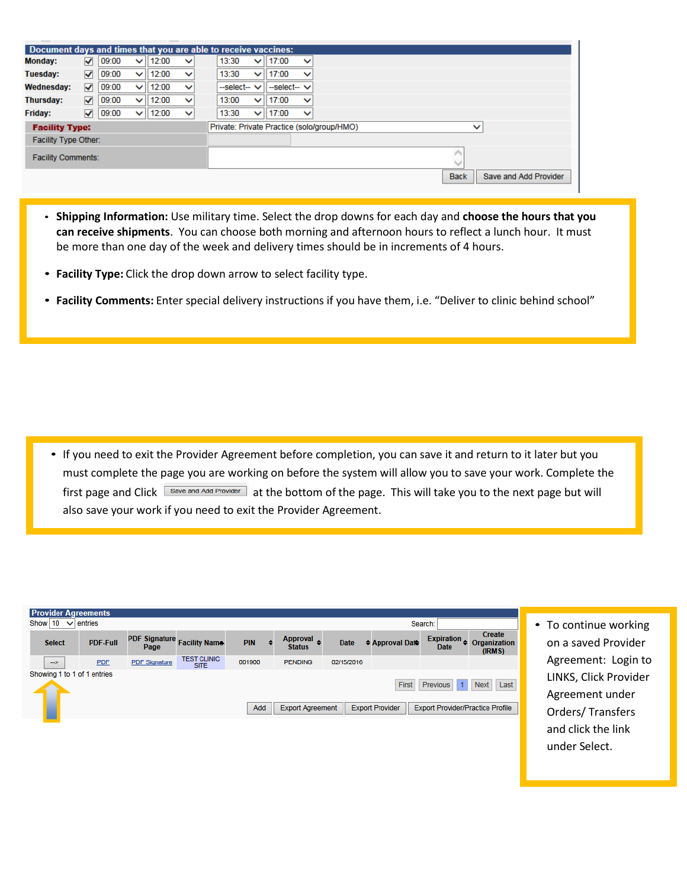|                           | Document days and times that you are able to receive vaccines: |       |              |       |              |  |              |              |                                            |              |              |             |                       |
|---------------------------|----------------------------------------------------------------|-------|--------------|-------|--------------|--|--------------|--------------|--------------------------------------------|--------------|--------------|-------------|-----------------------|
| Monday:                   | ✓                                                              | 09:00 | $\checkmark$ | 12:00 | $\checkmark$ |  | 13:30        | ◡            | 17:00                                      | $\checkmark$ |              |             |                       |
| Tuesday:                  | ✓                                                              | 09:00 | $\checkmark$ | 12:00 | $\checkmark$ |  | 13:30        | $\checkmark$ | 17:00                                      | $\checkmark$ |              |             |                       |
| <b>Wednesday:</b>         | $\blacktriangledown$                                           | 09:00 | ◡            | 12:00 | $\checkmark$ |  | --select-- V |              | $-$ select $ \vee$                         |              |              |             |                       |
| <b>Thursday:</b>          | ▿                                                              | 09:00 | $\checkmark$ | 12:00 | $\checkmark$ |  | 13:00        | $\checkmark$ | 17:00                                      | $\checkmark$ |              |             |                       |
| <b>Friday:</b>            | $\blacktriangledown$                                           | 09:00 | $\vee$       | 12:00 | $\checkmark$ |  | 13:30        | ◡            | 17:00                                      | $\checkmark$ |              |             |                       |
| <b>Facility Type:</b>     |                                                                |       |              |       |              |  |              |              | Private: Private Practice (solo/group/HMO) |              | $\checkmark$ |             |                       |
| Facility Type Other:      |                                                                |       |              |       |              |  |              |              |                                            |              |              |             |                       |
| <b>Facility Comments:</b> |                                                                |       |              |       |              |  |              |              |                                            |              |              | ∧           |                       |
|                           |                                                                |       |              |       |              |  |              |              |                                            |              |              | <b>Back</b> | Save and Add Provider |
|                           |                                                                |       |              |       |              |  |              |              |                                            |              |              |             |                       |

- **Shipping Information:** Use military time. Select the drop downs for each day and **choose the hours that you can receive shipments**. You can choose both morning and afternoon hours to reflect a lunch hour. It must be more than one day of the week and delivery times should be in increments of 4 hours.
- **Facility Type:** Click the drop down arrow to select facility type.
- **Facility Comments:** Enter special delivery instructions if you have them, i.e. "Deliver to clinic behind school"

• If you need to exit the Provider Agreement before completion, you can save it and return to it later but you must complete the page you are working on before the system will allow you to save your work. Complete the first page and Click **Save and Add Provider** at the bottom of the page. This will take you to the next page but will also save your work if you need to exit the Provider Agreement.

| <b>Provider Agreements</b>           |                 |                              |                                   |            |   |                                  |             |                        |                                         |                                         |  |  |  |  |
|--------------------------------------|-----------------|------------------------------|-----------------------------------|------------|---|----------------------------------|-------------|------------------------|-----------------------------------------|-----------------------------------------|--|--|--|--|
| Show 10<br>$\vee$ entries<br>Search: |                 |                              |                                   |            |   |                                  |             |                        |                                         |                                         |  |  |  |  |
| <b>Select</b>                        | <b>PDF-Full</b> | <b>PDF Signature</b><br>Page | <b>Facility Name</b>              | <b>PIN</b> | ٠ | <b>Approval</b><br><b>Status</b> | <b>Date</b> | <b>≑ Approval Date</b> | <b>Expiration</b><br><b>Date</b>        | Create<br><b>Organization</b><br>(IRMS) |  |  |  |  |
| $\rightarrow$                        | <b>PDF</b>      | <b>PDF Signature</b>         | <b>TEST CLINIC</b><br><b>SITE</b> | 001900     |   | <b>PENDING</b>                   | 02/15/2016  |                        |                                         |                                         |  |  |  |  |
| Showing 1 to 1 of 1 entries          |                 |                              |                                   |            |   |                                  |             |                        |                                         |                                         |  |  |  |  |
|                                      |                 |                              |                                   |            |   |                                  |             | First                  | Previous                                | Last<br><b>Next</b>                     |  |  |  |  |
|                                      |                 |                              |                                   | Add        |   | <b>Export Agreement</b>          |             | <b>Export Provider</b> | <b>Export Provider/Practice Profile</b> |                                         |  |  |  |  |

• To continue working on a saved Provider Agreement: Login to LINKS, Click Provider Agreement under Orders/ Transfers and click the link under Select.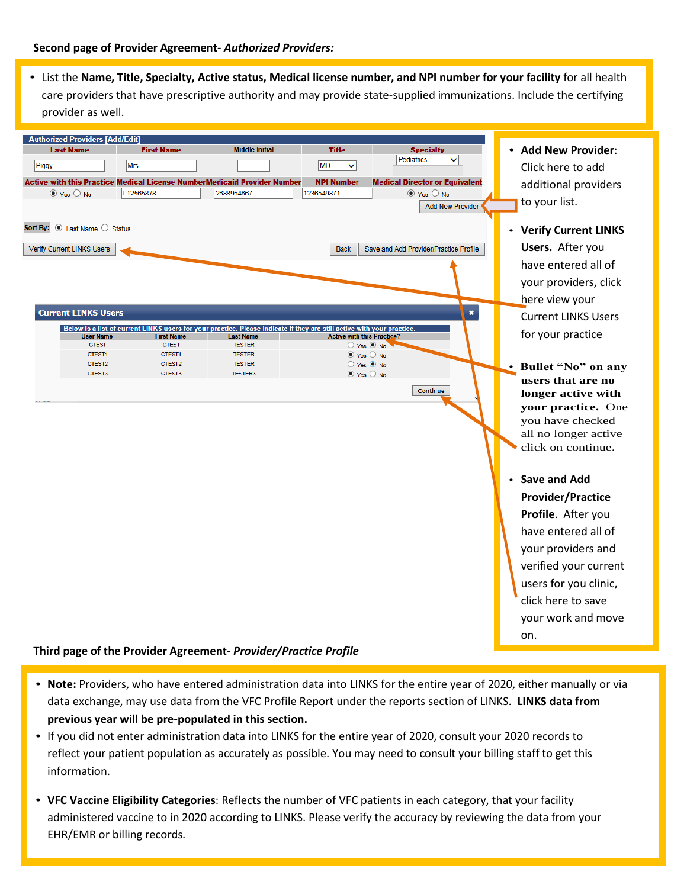• List the **Name, Title, Specialty, Active status, Medical license number, and NPI number for your facility** for all health care providers that have prescriptive authority and may provide state-supplied immunizations. Include the certifying provider as well.



## **Third page of the Provider Agreement-** *Provider/Practice Profile*

- **Note:** Providers, who have entered administration data into LINKS for the entire year of 2020, either manually or via data exchange, may use data from the VFC Profile Report under the reports section of LINKS. **LINKS data from previous year will be pre-populated in this section.**
- If you did not enter administration data into LINKS for the entire year of 2020, consult your 2020 records to reflect your patient population as accurately as possible. You may need to consult your billing staff to get this information.
- **VFC Vaccine Eligibility Categories**: Reflects the number of VFC patients in each category, that your facility administered vaccine to in 2020 according to LINKS. Please verify the accuracy by reviewing the data from your EHR/EMR or billing records.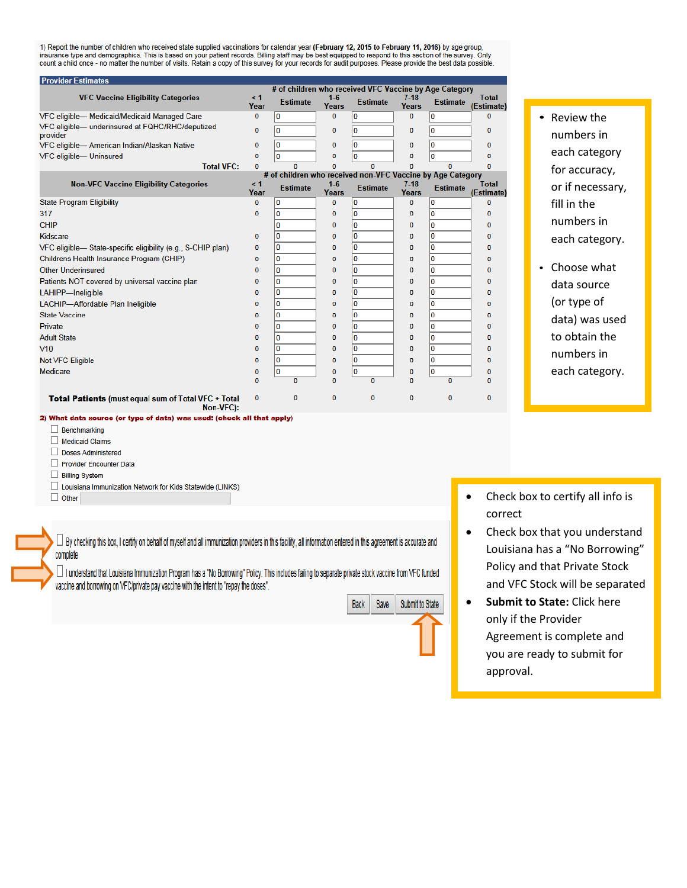1) Report the number of children who received state supplied vaccinations for calendar year (February 12, 2015 to February 11, 2016) by age group,<br>insurance type and demographics. This is based on your patient records. Bil

| <b>Provider Estimates</b>                                              |                  |                                                            |                       |                 |                 |                 |                            |  |  |  |  |  |
|------------------------------------------------------------------------|------------------|------------------------------------------------------------|-----------------------|-----------------|-----------------|-----------------|----------------------------|--|--|--|--|--|
|                                                                        |                  | # of children who received VFC Vaccine by Age Category     |                       |                 |                 |                 |                            |  |  |  |  |  |
| <b>VFC Vaccine Eligibility Categories</b>                              | $\leq 1$<br>Year | <b>Estimate</b>                                            | $1-6$<br>Years        | <b>Estimate</b> | $7-18$<br>Years | <b>Estimate</b> | <b>Total</b><br>(Estimate) |  |  |  |  |  |
| VFC eligible-Medicaid/Medicaid Managed Care                            | 0                | 0                                                          | 0                     | ١o              | 0               | 0               | 0                          |  |  |  |  |  |
| VFC eligible-underinsured at FQHC/RHC/deputized<br>provider            | o                | 0                                                          | 0                     | ١o              | 0               | 0               | Ō                          |  |  |  |  |  |
| VFC eligible- American Indian/Alaskan Native                           | 0                | 0                                                          | $\bf{0}$              | ١o              | $\mathbf{0}$    | O               | o                          |  |  |  |  |  |
| VFC eligible- Uninsured                                                | ٥                | 0                                                          | 0                     | ١o              | O               | o               | 0                          |  |  |  |  |  |
| <b>Total VFC:</b>                                                      | n                | $\sqrt{2}$                                                 | n                     | n               | 0               | n               | n                          |  |  |  |  |  |
|                                                                        | $\leq 1$         | # of children who received non-VFC Vaccine by Age Category |                       |                 |                 |                 |                            |  |  |  |  |  |
| <b>Non-VFC Vaccine Eligibility Categories</b>                          | Year             | <b>Estimate</b>                                            | $1-6$<br><b>Years</b> | <b>Estimate</b> | $7-18$<br>Years | <b>Estimate</b> | <b>Total</b><br>(Estimate) |  |  |  |  |  |
| <b>State Program Eligibility</b>                                       | 0                | 0                                                          | 0                     | O               | Ō               | 0               | o                          |  |  |  |  |  |
| 317                                                                    | o                | 0                                                          | 0                     | ١o              | o               | 0               | o                          |  |  |  |  |  |
| <b>CHIP</b>                                                            |                  | 0                                                          | 0                     | ١o              | 0               | 0               | o                          |  |  |  |  |  |
| Kidscare                                                               | o                | 0                                                          | 0                     | O               | 0               | 0               | o                          |  |  |  |  |  |
| VFC eligible— State-specific eligibility (e.g., S-CHIP plan)           | 0                | 0                                                          | 0                     | O               | 0               | 0               | o                          |  |  |  |  |  |
| Childrens Health Insurance Program (CHIP)                              | 0                | 0                                                          | 0                     | $\mathbf{0}$    | 0               | 0               | ō                          |  |  |  |  |  |
| Other Underinsured                                                     | 0                | 0                                                          | 0                     | ١o              | 0               | 0               | ٥                          |  |  |  |  |  |
| Patients NOT covered by universal vaccine plan                         | o                | 0                                                          | 0                     | $\bf{0}$        | 0               | 0               | 0                          |  |  |  |  |  |
| LAHIPP-Ineligible                                                      | o                | 0                                                          | 0                     | ١o              | 0               | 0               | 0                          |  |  |  |  |  |
| LACHIP-Affordable Plan Ineligible                                      | o                | 0                                                          | 0                     | ١o              | 0               | 0               | 0                          |  |  |  |  |  |
| <b>State Vaccine</b>                                                   | o                | 0                                                          | 0                     | ١o              | o               | O               | o                          |  |  |  |  |  |
| Private                                                                | n                | 0                                                          | 0                     | ١o              | 0               | 0               | n                          |  |  |  |  |  |
| <b>Adult State</b>                                                     | n                | 0                                                          | 0                     | ١o              | 0               | 0               | n                          |  |  |  |  |  |
| V10                                                                    | ٥                | 0                                                          | 0                     | ١o              | O               | 0               | ٥                          |  |  |  |  |  |
| Not VFC Eligible                                                       | ٥                | 0                                                          | 0                     | ١o              | 0               | O               | Ō                          |  |  |  |  |  |
| Medicare                                                               | ٥                | 0                                                          | 0                     | ١o              | 0               | O               | ٥                          |  |  |  |  |  |
|                                                                        | n                | $\mathbf{a}$                                               | $\Omega$              | n               | 0               | $\mathbf{u}$    | n                          |  |  |  |  |  |
| Total Patients (must equal sum of Total VFC + Total<br>Non-VFC):       | o                | 0                                                          | 0                     | o               | 0               | $\mathbf 0$     | 0                          |  |  |  |  |  |
| 2) What data source (or type of data) was used: (check all that anniv) |                  |                                                            |                       |                 |                 |                 |                            |  |  |  |  |  |

- Review the numbers in each category for accuracy, or if necessary, fill in the numbers in each category.
- Choose what data source (or type of data) was used to obtain the numbers in each category.

- $\Box$  Benchmarking
- Medicaid Claims
- Doses Administered
- Provider Encounter Data
- **Billing System**
- □ Louisiana Immunization Network for Kids Statewide (LINKS)
- $\Box$  Other

 $\Box$  By checking this box, I certify on behalf of myself and all immunization providers in this facility, all information entered in this agreement is accurate and complete

I understand that Louisiana Immunization Program has a "No Borrowing" Policy. This includes failing to separate private stock vaccine from VFC funded vaccine and borrowing on VFC/private pay vaccine with the intent to "repay the doses".

| <b>Back</b> | Save | Submit to State |
|-------------|------|-----------------|
|             |      |                 |
|             |      |                 |
|             |      |                 |

- Check box to certify all info is correct
- Check box that you understand Louisiana has a "No Borrowing" Policy and that Private Stock and VFC Stock will be separated
- **Submit to State:** Click here only if the Provider Agreement is complete and you are ready to submit for approval.